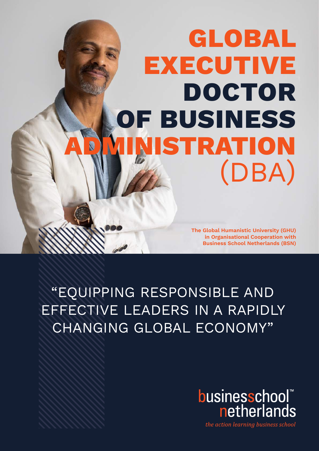# **GLOBAL EXECUTIVE DOCTOR OF BUSINESS RATION** (DBA)

**The Global Humanistic University (GHU) in Organisational Cooperation with Business School Netherlands (BSN)**

"EQUIPPING RESPONSIBLE AND EFFECTIVE LEADERS IN A RAPIDLY CHANGING GLOBAL ECONOMY"



the action learning business school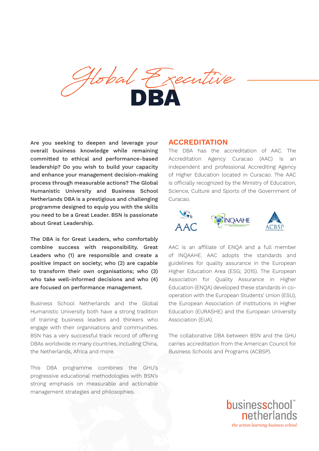

Are you seeking to deepen and leverage your overall business knowledge while remaining committed to ethical and performance-based leadership? Do you wish to build your capacity and enhance your management decision-making process through measurable actions? The Global Humanistic University and Business School Netherlands DBA is a prestigious and challenging programme designed to equip you with the skills you need to be a Great Leader. BSN is passionate about Great Leadership.

The DBA is for Great Leaders, who comfortably combine success with responsibility. Great Leaders who (1) are responsible and create a positive impact on society; who (2) are capable to transform their own organisations; who (3) who take well-informed decisions and who (4) are focused on performance management.

Business School Netherlands and the Global Humanistic University both have a strong tradition of training business leaders and thinkers who engage with their organisations and communities. BSN has a very successful track record of offering DBAs worldwide in many countries, including China, the Netherlands, Africa and more.

This DBA programme combines the GHU's progressive educational methodologies with BSN's strong emphasis on measurable and actionable management strategies and philosophies.

#### **ACCREDITATION**

The DBA has the accreditation of AAC. The Accreditation Agency Curacao (AAC) is an independent and professional Accrediting Agency of Higher Education located in Curacao. The AAC is officially recognized by the Ministry of Education, Science, Culture and Sports of the Government of Curacao.



AAC is an affiliate of ENQA and a full member of INQAAHE. AAC adopts the standards and guidelines for quality assurance in the European Higher Education Area (ESG; 2015). The European Association for Quality Assurance in Higher Education (ENQA) developed these standards in cooperation with the European Students' Union (ESU), the European Association of Institutions in Higher Education (EURASHE) and the European University Association (EUA).

The collaborative DBA between BSN and the GHU carries accreditation from the American Council for Business Schools and Programs (ACBSP).

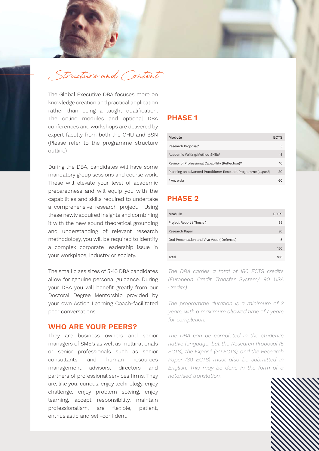

The Global Executive DBA focuses more on knowledge creation and practical application rather than being a taught qualification. The online modules and optional DBA conferences and workshops are delivered by expert faculty from both the GHU and BSN (Please refer to the programme structure outline)

methodology, you will be required to identify a complex corporate leadership issue in a complex  $\sim$  100  $\,$ your workplace, industry or society. The voor method was voor  $\sigma$ During the DBA, candidates will have some mandatory group sessions and course work. These will elevate your level of academic preparedness and will equip you with the capabilities and skills required to undertake a comprehensive research project. Using these newly acquired insights and combining it with the new sound theoretical grounding and understanding of relevant research

The small class sizes of 5-10 DBA candidates *The DBA carries a to*i allow for genuine personal guidance. During (European Credit your DBA you will benefit greatly from our credits) Doctoral Degree Mentorship provided by your own Action Learning Coach-facilitated peer conversations.

#### **WHO ARE YOUR PEERS?**

They are business owners and senior managers of SME's as well as multinationals or senior professionals such as senior consultants and human resources management advisors, directors and partners of professional services firms. They are, like you, curious, enjoy technology, enjoy challenge, enjoy problem solving, enjoy learning, accept responsibility, maintain professionalism, are flexible, patient, enthusiastic and self-confident.

#### **PHASE 1**

| Module                                                        | <b>ECTS</b> |
|---------------------------------------------------------------|-------------|
| Research Proposal*                                            | 5.          |
| Academic Writing/Method Skills*                               | 15          |
| Review of Professional Capabillity (Reflection)*              | 10          |
| Planning an advanced Practitioner Research Programme (Exposé) | 30          |
| * Any order                                                   | 60          |

# **PHASE 2**

| Module                                     | <b>ECTS</b> |
|--------------------------------------------|-------------|
| Project Report (Thesis)                    | 85          |
| Research Paper                             | 30          |
| Oral Presentation and Viva Voce (Defensio) | 5           |
|                                            | 120         |
| Total                                      | 180         |

*The DBA carries a total of 180 ECTS credits (European Credit Transfer System/ 90 USA Credits)*

*The programme duration is a minimum of 3 years, with a maximum allowed time of 7 years for completion.*

*The DBA can be completed in the student's native language, but the Research Proposal (5 ECTS), the Exposé (30 ECTS), and the Research Paper (30 ECTS) must also be submitted in English. This may be done in the form of a notarised translation.*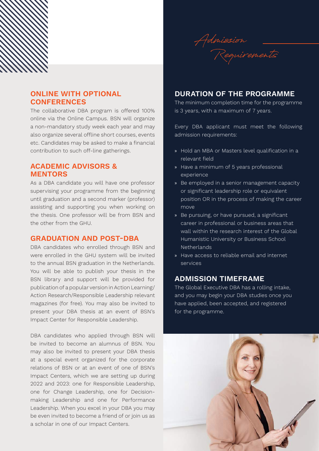

# **ONLINE WITH OPTIONAL CONFERENCES**

The collaborative DBA program is offered 100% online via the Online Campus. BSN will organize a non-mandatory study week each year and may also organize several offline short courses, events etc. Candidates may be asked to make a financial contribution to such off-line gatherings.

## **ACADEMIC ADVISORS & MENTORS**

As a DBA candidate you will have one professor supervising your programme from the beginning until graduation and a second marker (professor) assisting and supporting you when working on the thesis. One professor will be from BSN and the other from the GHU.

#### **GRADUATION AND POST-DBA**

DBA candidates who enrolled through BSN and were enrolled in the GHU system will be invited to the annual BSN graduation in the Netherlands. You will be able to publish your thesis in the BSN library and support will be provided for publication of a popular version in Action Learning/ Action Research/Responsible Leadership relevant magazines (for free). You may also be invited to present your DBA thesis at an event of BSN's Impact Center for Responsible Leadership.

DBA candidates who applied through BSN will be invited to become an alumnus of BSN. You may also be invited to present your DBA thesis at a special event organized for the corporate relations of BSN or at an event of one of BSN's Impact Centers, which we are setting up during 2022 and 2023: one for Responsible Leadership, one for Change Leadership, one for Decisionmaking Leadership and one for Performance Leadership. When you excel in your DBA you may be even invited to become a friend of or join us as a scholar in one of our Impact Centers.

### **DURATION OF THE PROGRAMME**

The minimum completion time for the programme is 3 years, with a maximum of 7 years.

Every DBA applicant must meet the following admission requirements:

- » Hold an MBA or Masters level qualification in a relevant field
- » Have a minimum of 5 years professional experience
- » Be employed in a senior management capacity or significant leadership role or equivalent position OR in the process of making the career move
- » Be pursuing, or have pursued, a significant career in professional or business areas that wall within the research interest of the Global Humanistic University or Business School Netherlands
- » Have access to reliable email and internet services

#### **ADMISSION TIMEFRAME**

The Global Executive DBA has a rolling intake, and you may begin your DBA studies once you have applied, been accepted, and registered for the programme.

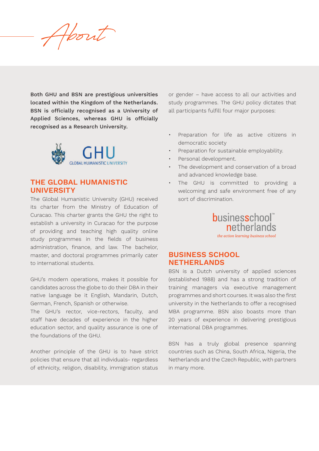**About**

Both GHU and BSN are prestigious universities located within the Kingdom of the Netherlands. BSN is officially recognised as a University of Applied Sciences, whereas GHU is officially recognised as a Research University.



# **THE GLOBAL HUMANISTIC UNIVERSITY**

The Global Humanistic University (GHU) received its charter from the Ministry of Education of Curacao. This charter grants the GHU the right to establish a university in Curacao for the purpose of providing and teaching high quality online study programmes in the fields of business administration, finance, and law. The bachelor, master, and doctoral programmes primarily cater to international students.

GHU's modern operations, makes it possible for candidates across the globe to do their DBA in their native language be it English, Mandarin, Dutch, German, French, Spanish or otherwise.

The GHU's rector, vice-rectors, faculty, and staff have decades of experience in the higher education sector, and quality assurance is one of the foundations of the GHU.

Another principle of the GHU is to have strict policies that ensure that all individuals- regardless of ethnicity, religion, disability, immigration status or gender – have access to all our activities and study programmes. The GHU policy dictates that all participants fulfill four major purposes:

- Preparation for life as active citizens in democratic society
- Preparation for sustainable employability.
- Personal development.
- The development and conservation of a broad and advanced knowledge base.
- The GHU is committed to providing a welcoming and safe environment free of any sort of discrimination.



# **BUSINESS SCHOOL NETHERLANDS**

BSN is a Dutch university of applied sciences (established 1988) and has a strong tradition of training managers via executive management programmes and short courses. It was also the first university in the Netherlands to offer a recognised MBA programme. BSN also boasts more than 20 years of experience in delivering prestigious international DBA programmes.

BSN has a truly global presence spanning countries such as China, South Africa, Nigeria, the Netherlands and the Czech Republic, with partners in many more.